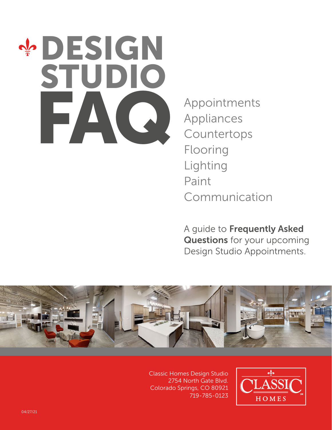# **DESIGN** STUDIO Appointments<br>Appliances

Appliances Countertops Flooring Lighting Paint Communication

A guide to Frequently Asked Questions for your upcoming Design Studio Appointments.



Classic Homes Design Studio 2754 North Gate Blvd. Colorado Springs, CO 80921 719-785-0123

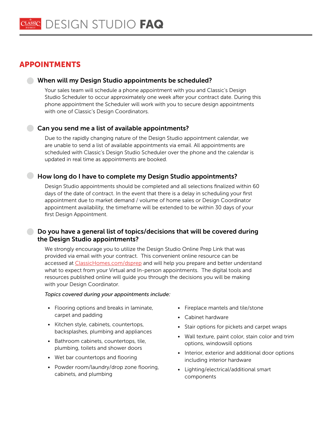# APPOINTMENTS

#### When will my Design Studio appointments be scheduled?

Your sales team will schedule a phone appointment with you and Classic's Design Studio Scheduler to occur approximately one week after your contract date. During this phone appointment the Scheduler will work with you to secure design appointments with one of Classic's Design Coordinators.

#### Can you send me a list of available appointments?

Due to the rapidly changing nature of the Design Studio appointment calendar, we are unable to send a list of available appointments via email. All appointments are scheduled with Classic's Design Studio Scheduler over the phone and the calendar is updated in real time as appointments are booked.

#### How long do I have to complete my Design Studio appointments?

Design Studio appointments should be completed and all selections finalized within 60 days of the date of contract. In the event that there is a delay in scheduling your first appointment due to market demand / volume of home sales or Design Coordinator appointment availability, the timeframe will be extended to be within 30 days of your first Design Appointment.

#### **Do you have a general list of topics/decisions that will be covered during** the Design Studio appointments?

We strongly encourage you to utilize the Design Studio Online Prep Link that was provided via email with your contract. This convenient online resource can be accessed at [ClassicHomes.com/dsprep](www.classichomes.com/dsprep) and will help you prepare and better understand what to expect from your Virtual and In-person appointments. The digital tools and resources published online will guide you through the decisions you will be making with your Design Coordinator.

#### *Topics covered during your appointments include:*

- Flooring options and breaks in laminate, carpet and padding
- Kitchen style, cabinets, countertops, backsplashes, plumbing and appliances
- Bathroom cabinets, countertops, tile, plumbing, toilets and shower doors
- Wet bar countertops and flooring
- Powder room/laundry/drop zone flooring, cabinets, and plumbing
- Fireplace mantels and tile/stone
- Cabinet hardware
- Stair options for pickets and carpet wraps
- Wall texture, paint color, stain color and trim options, windowsill options
- Interior, exterior and additional door options including interior hardware
- Lighting/electrical/additional smart components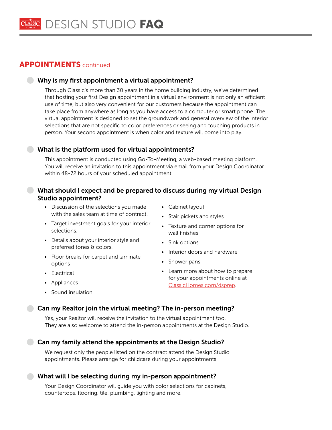# **APPOINTMENTS** continued

#### Why is my first appointment a virtual appointment?

Through Classic's more than 30 years in the home building industry, we've determined that hosting your first Design appointment in a virtual environment is not only an efficient use of time, but also very convenient for our customers because the appointment can take place from anywhere as long as you have access to a computer or smart phone. The virtual appointment is designed to set the groundwork and general overview of the interior selections that are not specific to color preferences or seeing and touching products in person. Your second appointment is when color and texture will come into play.

#### What is the platform used for virtual appointments?

This appointment is conducted using Go-To-Meeting, a web-based meeting platform. You will receive an invitation to this appointment via email from your Design Coordinator within 48-72 hours of your scheduled appointment.

### What should I expect and be prepared to discuss during my virtual Design Studio appointment?

- Discussion of the selections you made with the sales team at time of contract.
- Target investment goals for your interior selections.
- Details about your interior style and preferred tones & colors.
- Floor breaks for carpet and laminate options
- Electrical
- Appliances
- Sound insulation
- Cabinet layout
- Stair pickets and styles
- Texture and corner options for wall finishes
- Sink options
- Interior doors and hardware
- Shower pans
- Learn more about how to prepare for your appointments online at [ClassicHomes.com/dsprep.](www.classichomes.com/dsprep)

#### Can my Realtor join the virtual meeting? The in-person meeting?

Yes, your Realtor will receive the invitation to the virtual appointment too. They are also welcome to attend the in-person appointments at the Design Studio.

Can my family attend the appointments at the Design Studio?

We request only the people listed on the contract attend the Design Studio appointments. Please arrange for childcare during your appointments.

#### What will I be selecting during my in-person appointment?

Your Design Coordinator will guide you with color selections for cabinets, countertops, flooring, tile, plumbing, lighting and more.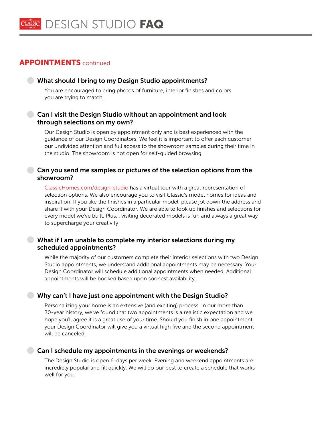# APPOINTMENTS continued

#### What should I bring to my Design Studio appointments?

You are encouraged to bring photos of furniture, interior finishes and colors you are trying to match.

### Can I visit the Design Studio without an appointment and look through selections on my own?

Our Design Studio is open by appointment only and is best experienced with the guidance of our Design Coordinators. We feel it is important to offer each customer our undivided attention and full access to the showroom samples during their time in the studio. The showroom is not open for self-guided browsing.

#### Can you send me samples or pictures of the selection options from the showroom?

[ClassicHomes.com/design-studio](http://ClassicHomes.com/design-studio) has a virtual tour with a great representation of selection options. We also encourage you to visit Classic's model homes for ideas and inspiration. If you like the finishes in a particular model, please jot down the address and share it with your Design Coordinator. We are able to look up finishes and selections for every model we've built. Plus... visiting decorated models is fun and always a great way to supercharge your creativity!

#### What if I am unable to complete my interior selections during my scheduled appointments?

While the majority of our customers complete their interior selections with two Design Studio appointments, we understand additional appointments may be necessary. Your Design Coordinator will schedule additional appointments when needed. Additional appointments will be booked based upon soonest availability.

#### Why can't I have just one appointment with the Design Studio?

Personalizing your home is an extensive (and exciting) process. In our more than 30-year history, we've found that two appointments is a realistic expectation and we hope you'll agree it is a great use of your time. Should you finish in one appointment, your Design Coordinator will give you a virtual high five and the second appointment will be canceled.

#### Can I schedule my appointments in the evenings or weekends?

The Design Studio is open 6-days per week. Evening and weekend appointments are incredibly popular and fill quickly. We will do our best to create a schedule that works well for you.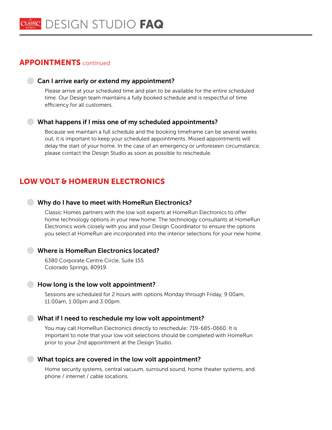## APPOINTMENTS continued

#### Can I arrive early or extend my appointment?

Please arrive at your scheduled time and plan to be available for the entire scheduled time. Our Design team maintains a fully booked schedule and is respectful of time efficiency for all customers.

#### What happens if I miss one of my scheduled appointments?

Because we maintain a full schedule and the booking timeframe can be several weeks out, it is important to keep your scheduled appointments. Missed appointments will delay the start of your home. In the case of an emergency or unforeseen circumstance, please contact the Design Studio as soon as possible to reschedule.

# LOW VOLT & HOMERUN ELECTRONICS

#### Why do I have to meet with HomeRun Electronics?

Classic Homes partners with the low volt experts at HomeRun Electronics to offer home technology options in your new home. The technology consultants at HomeRun Electronics work closely with you and your Design Coordinator to ensure the options you select at HomeRun are incorporated into the interior selections for your new home.

#### Where is HomeRun Electronics located?

6380 Corporate Centre Circle, Suite 155 Colorado Springs, 80919.

#### How long is the low volt appointment?

Sessions are scheduled for 2 hours with options Monday through Friday, 9:00am, 11:00am, 1:00pm and 3:00pm.

#### What if I need to reschedule my low volt appointment?

You may call HomeRun Electronics directly to reschedule: 719-685-0660. It is important to note that your low volt selections should be completed with HomeRun prior to your 2nd appointment at the Design Studio.

#### What topics are covered in the low volt appointment?

Home security systems, central vacuum, surround sound, home theater systems, and phone / internet / cable locations.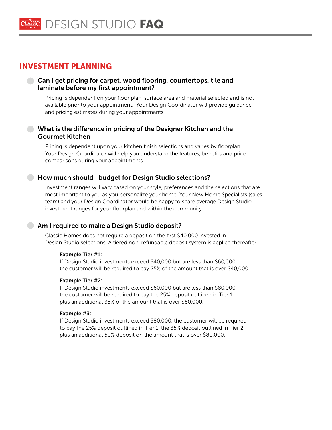# INVESTMENT PLANNING

#### Can I get pricing for carpet, wood flooring, countertops, tile and laminate before my first appointment?

Pricing is dependent on your floor plan, surface area and material selected and is not available prior to your appointment. Your Design Coordinator will provide guidance and pricing estimates during your appointments.

#### What is the difference in pricing of the Designer Kitchen and the Gourmet Kitchen

Pricing is dependent upon your kitchen finish selections and varies by floorplan. Your Design Coordinator will help you understand the features, benefits and price comparisons during your appointments.

#### How much should I budget for Design Studio selections?

Investment ranges will vary based on your style, preferences and the selections that are most important to you as you personalize your home. Your New Home Specialists (sales team) and your Design Coordinator would be happy to share average Design Studio investment ranges for your floorplan and within the community.

#### Am I required to make a Design Studio deposit?

Classic Homes does not require a deposit on the first \$40,000 invested in Design Studio selections. A tiered non-refundable deposit system is applied thereafter.

#### Example Tier #1:

If Design Studio investments exceed \$40,000 but are less than \$60,000, the customer will be required to pay 25% of the amount that is over \$40,000.

#### Example Tier #2:

If Design Studio investments exceed \$60,000 but are less than \$80,000, the customer will be required to pay the 25% deposit outlined in Tier 1 plus an additional 35% of the amount that is over \$60,000.

#### Example #3:

If Design Studio investments exceed \$80,000, the customer will be required to pay the 25% deposit outlined in Tier 1, the 35% deposit outlined in Tier 2 plus an additional 50% deposit on the amount that is over \$80,000.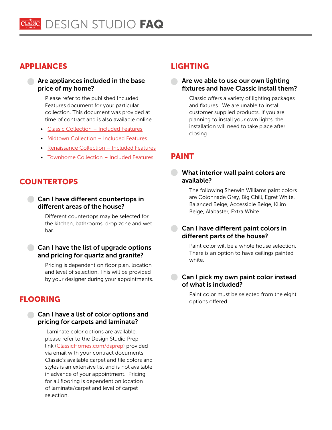# APPLIANCES LIGHTING

#### Are appliances included in the base price of my home?

Please refer to the published Included Features document for your particular collection. This document was provided at time of contract and is also available online.

- [Classic Collection Included Features](http://classichomes.com/classiccollection)
- [Midtown Collection Included Features](http://classichomes.com/midtowncollection)
- [Renaissance Collection Included Features](https://classichomes.com/renaissancecollectionir)
- [Townhome Collection Included Features](http://classichomes.com/townhomecollection)

# **COUNTERTOPS**

#### Can I have different countertops in different areas of the house?

Different countertops may be selected for the kitchen, bathrooms, drop zone and wet bar.

#### Can I have the list of upgrade options and pricing for quartz and granite?

Pricing is dependent on floor plan, location and level of selection. This will be provided by your designer during your appointments.

# FLOORING

#### Can I have a list of color options and pricing for carpets and laminate?

 Laminate color options are available, please refer to the Design Studio Prep link [\(ClassicHomes.com/dsprep](http://ClassicHomes.com/dsprep)) provided via email with your contract documents. Classic's available carpet and tile colors and styles is an extensive list and is not available in advance of your appointment. Pricing for all flooring is dependent on location of laminate/carpet and level of carpet selection.

#### Are we able to use our own lighting fixtures and have Classic install them?

Classic offers a variety of lighting packages and fixtures. We are unable to install customer supplied products. If you are planning to install your own lights, the installation will need to take place after closing.

# PAINT

#### **What interior wall paint colors are** available?

The following Sherwin Williams paint colors are Colonnade Grey, Big Chill, Egret White, Balanced Beige, Accessible Beige, Kilim Beige, Alabaster, Extra White

#### Can I have different paint colors in different parts of the house?

Paint color will be a whole house selection. There is an option to have ceilings painted white.

### Can I pick my own paint color instead of what is included?

Paint color must be selected from the eight options offered.